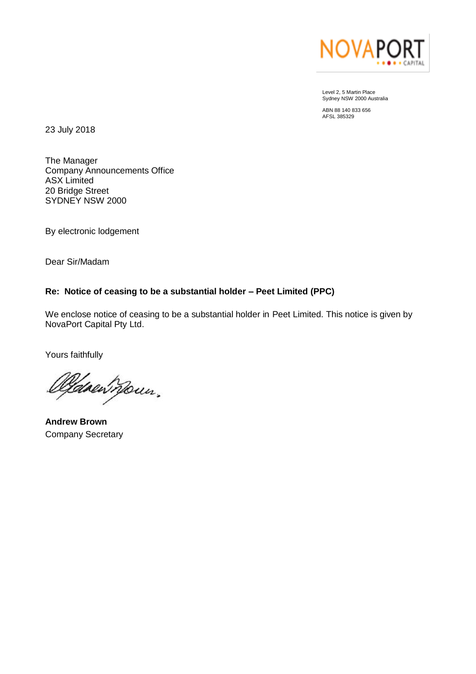

Level 2, 5 Martin Place Sydney NSW 2000 Australia

ABN 88 140 833 656 AFSL 385329

23 July 2018

The Manager Company Announcements Office ASX Limited 20 Bridge Street SYDNEY NSW 2000

By electronic lodgement

Dear Sir/Madam

## **Re: Notice of ceasing to be a substantial holder – Peet Limited (PPC)**

We enclose notice of ceasing to be a substantial holder in Peet Limited. This notice is given by NovaPort Capital Pty Ltd.

Yours faithfully

<u>lld</u>aeil nour,

**Andrew Brown** Company Secretary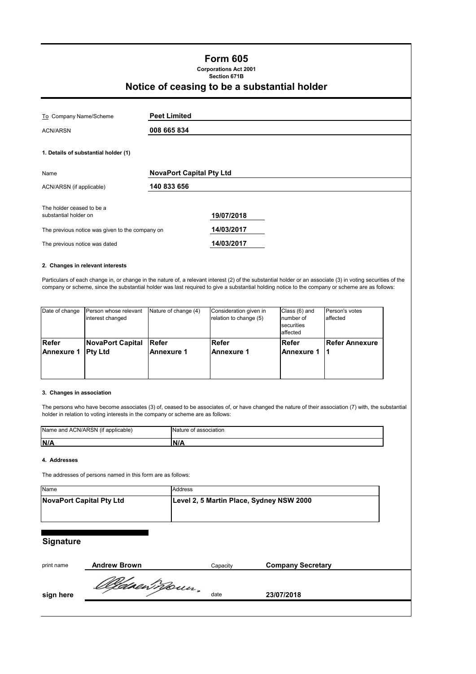## **Form 605**

**Corporations Act 2001 Section 671B**

# **Notice of ceasing to be a substantial holder**

| To Company Name/Scheme                             | <b>Peet Limited</b>             |  |  |
|----------------------------------------------------|---------------------------------|--|--|
| <b>ACN/ARSN</b>                                    | 008 665 834                     |  |  |
| 1. Details of substantial holder (1)               |                                 |  |  |
| Name                                               | <b>NovaPort Capital Pty Ltd</b> |  |  |
| ACN/ARSN (if applicable)                           | 140 833 656                     |  |  |
| The holder ceased to be a<br>substantial holder on | 19/07/2018                      |  |  |
| The previous notice was given to the company on    | 14/03/2017                      |  |  |
| The previous notice was dated                      | 14/03/2017                      |  |  |

#### **2. Changes in relevant interests**

Particulars of each change in, or change in the nature of, a relevant interest (2) of the substantial holder or an associate (3) in voting securities of the company or scheme, since the substantial holder was last required to give a substantial holding notice to the company or scheme are as follows:

| Date of change    | Person whose relevant<br>interest changed | Nature of change (4) | Consideration given in<br>relation to change (5) | Class (6) and<br>number of<br>securities<br>affected | Person's votes<br>affected |
|-------------------|-------------------------------------------|----------------------|--------------------------------------------------|------------------------------------------------------|----------------------------|
| <b>IRefer</b>     | <b>NovaPort Capital</b>                   | <b>IRefer</b>        | <b>Refer</b>                                     | <b>IRefer</b>                                        | <b>Refer Annexure</b>      |
| <b>Annexure 1</b> | <b>IPty Ltd</b>                           | <b>Annexure 1</b>    | <b>IAnnexure 1</b>                               | <b>Annexure 1</b>                                    |                            |

#### **3. Changes in association**

The persons who have become associates (3) of, ceased to be associates of, or have changed the nature of their association (7) with, the substantial holder in relation to voting interests in the company or scheme are as follows:

| Name and ACN/ARSN (if<br>ˈapplicable) | l association<br><b>Nature</b><br>ot |
|---------------------------------------|--------------------------------------|
| <b>IN/A</b>                           | . <i>.</i> .                         |

#### **4. Addresses**

The addresses of persons named in this form are as follows:

| Name                     | Address                                  |
|--------------------------|------------------------------------------|
| NovaPort Capital Pty Ltd | Level 2, 5 Martin Place, Sydney NSW 2000 |
|                          |                                          |

### **Signature**

| print name | <b>Andrew Brown</b> | Capacitv | <b>Company Secretary</b> |
|------------|---------------------|----------|--------------------------|
| sign here  | Oldsenmoun.         | date     | 23/07/2018               |
|            |                     |          |                          |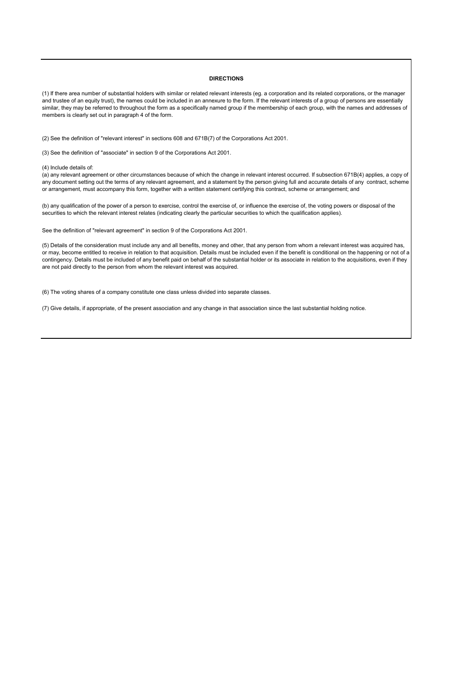#### **DIRECTIONS**

(1) If there area number of substantial holders with similar or related relevant interests (eg. a corporation and its related corporations, or the manager and trustee of an equity trust), the names could be included in an annexure to the form. If the relevant interests of a group of persons are essentially similar, they may be referred to throughout the form as a specifically named group if the membership of each group, with the names and addresses of members is clearly set out in paragraph 4 of the form.

(2) See the definition of "relevant interest" in sections 608 and 671B(7) of the Corporations Act 2001.

(3) See the definition of "associate" in section 9 of the Corporations Act 2001.

(4) Include details of:

(a) any relevant agreement or other circumstances because of which the change in relevant interest occurred. If subsection 671B(4) applies, a copy of any document setting out the terms of any relevant agreement, and a statement by the person giving full and accurate details of any contract, scheme or arrangement, must accompany this form, together with a written statement certifying this contract, scheme or arrangement; and

(b) any qualification of the power of a person to exercise, control the exercise of, or influence the exercise of, the voting powers or disposal of the securities to which the relevant interest relates (indicating clearly the particular securities to which the qualification applies).

See the definition of "relevant agreement" in section 9 of the Corporations Act 2001.

(5) Details of the consideration must include any and all benefits, money and other, that any person from whom a relevant interest was acquired has, or may, become entitled to receive in relation to that acquisition. Details must be included even if the benefit is conditional on the happening or not of a contingency. Details must be included of any benefit paid on behalf of the substantial holder or its associate in relation to the acquisitions, even if they are not paid directly to the person from whom the relevant interest was acquired.

(6) The voting shares of a company constitute one class unless divided into separate classes.

(7) Give details, if appropriate, of the present association and any change in that association since the last substantial holding notice.